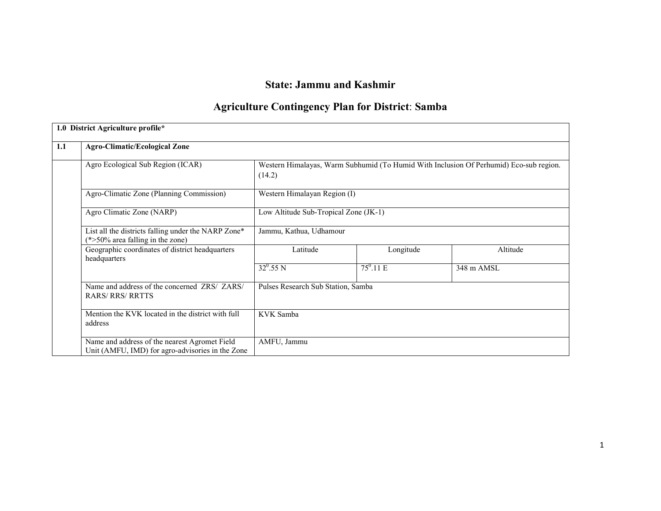# State: Jammu and Kashmir

## Agriculture Contingency Plan for District: Samba

|     | 1.0 District Agriculture profile*                                                                 |                                       |                                                                                        |            |  |  |  |
|-----|---------------------------------------------------------------------------------------------------|---------------------------------------|----------------------------------------------------------------------------------------|------------|--|--|--|
| 1.1 | <b>Agro-Climatic/Ecological Zone</b>                                                              |                                       |                                                                                        |            |  |  |  |
|     | Agro Ecological Sub Region (ICAR)                                                                 | (14.2)                                | Western Himalayas, Warm Subhumid (To Humid With Inclusion Of Perhumid) Eco-sub region. |            |  |  |  |
|     | Agro-Climatic Zone (Planning Commission)                                                          | Western Himalayan Region (I)          |                                                                                        |            |  |  |  |
|     | Agro Climatic Zone (NARP)                                                                         | Low Altitude Sub-Tropical Zone (JK-1) |                                                                                        |            |  |  |  |
|     | List all the districts falling under the NARP Zone*<br>$(*>50\%$ area falling in the zone)        | Jammu, Kathua, Udhamour               |                                                                                        |            |  |  |  |
|     | Geographic coordinates of district headquarters<br>headquarters                                   | Latitude                              | Longitude                                                                              | Altitude   |  |  |  |
|     |                                                                                                   | $32^0.55 N$                           | $75^0.11 \text{ E}$                                                                    | 348 m AMSL |  |  |  |
|     | Name and address of the concerned ZRS/ ZARS/<br><b>RARS/ RRS/ RRTTS</b>                           | Pulses Research Sub Station, Samba    |                                                                                        |            |  |  |  |
|     | Mention the KVK located in the district with full<br>address                                      | KVK Samba                             |                                                                                        |            |  |  |  |
|     | Name and address of the nearest Agromet Field<br>Unit (AMFU, IMD) for agro-advisories in the Zone | AMFU, Jammu                           |                                                                                        |            |  |  |  |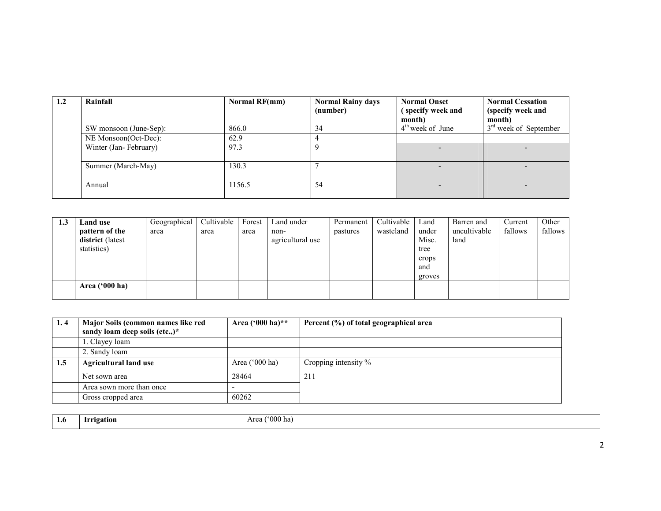| 1.2 | Rainfall               | Normal RF(mm) | <b>Normal Rainy days</b><br>(number) | <b>Normal Onset</b><br>(specify week and<br>month) | <b>Normal Cessation</b><br>(specify week and<br>month) |
|-----|------------------------|---------------|--------------------------------------|----------------------------------------------------|--------------------------------------------------------|
|     | SW monsoon (June-Sep): | 866.0         | 34                                   | $4th$ week of June                                 | $3rd$ week of September                                |
|     | NE Monsoon(Oct-Dec):   | 62.9          |                                      |                                                    |                                                        |
|     | Winter (Jan-February)  | 97.3          |                                      |                                                    |                                                        |
|     | Summer (March-May)     | 130.3         |                                      |                                                    |                                                        |
|     | Annual                 | 1156.5        | 54                                   |                                                    |                                                        |

| 1.3 | Land use                | Geographical | Cultivable | Forest | Land under       | Permanent | Cultivable | Land   | Barren and   | Current | Other   |
|-----|-------------------------|--------------|------------|--------|------------------|-----------|------------|--------|--------------|---------|---------|
|     | pattern of the          | area         | area       | area   | non-             | pastures  | wasteland  | under  | uncultivable | fallows | fallows |
|     | district (latest)       |              |            |        | agricultural use |           |            | Misc.  | land         |         |         |
|     | statistics)             |              |            |        |                  |           |            | tree   |              |         |         |
|     |                         |              |            |        |                  |           |            | crops  |              |         |         |
|     |                         |              |            |        |                  |           |            | and    |              |         |         |
|     |                         |              |            |        |                  |           |            | groves |              |         |         |
|     | Area $(900 \text{ ha})$ |              |            |        |                  |           |            |        |              |         |         |
|     |                         |              |            |        |                  |           |            |        |              |         |         |

| 1.4 | Major Soils (common names like red<br>sandy loam deep soils (etc.,)* | Area $(^{000}$ ha)** | Percent (%) of total geographical area |
|-----|----------------------------------------------------------------------|----------------------|----------------------------------------|
|     | 1. Clayey loam                                                       |                      |                                        |
|     | 2. Sandy loam                                                        |                      |                                        |
| 1.5 | <b>Agricultural land use</b>                                         | Area $('000 ha)$     | Cropping intensity %                   |
|     | Net sown area                                                        | 28464                | 211                                    |
|     | Area sown more than once                                             |                      |                                        |
|     | Gross cropped area                                                   | 60262                |                                        |

| 1.6 | <b>LESS 0</b><br>atıon<br> | $^{\prime\prime}000$ has<br>$\Delta$ ro |
|-----|----------------------------|-----------------------------------------|
|     | __<br>. .                  |                                         |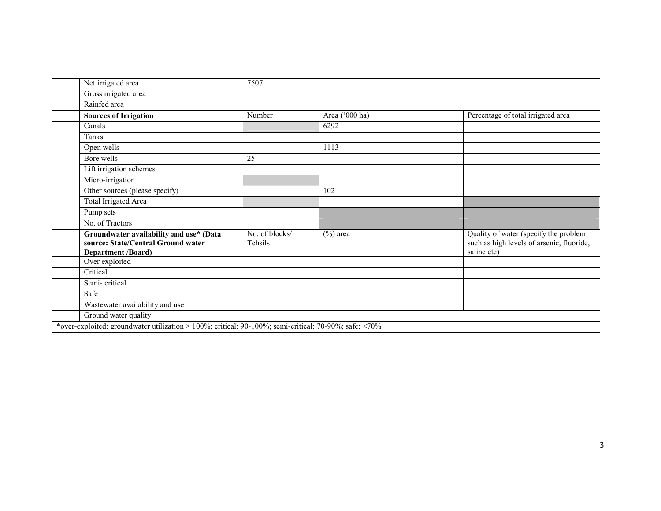| Net irrigated area                                                                                         | 7507                             |                |                                                                                                   |
|------------------------------------------------------------------------------------------------------------|----------------------------------|----------------|---------------------------------------------------------------------------------------------------|
| Gross irrigated area                                                                                       |                                  |                |                                                                                                   |
| Rainfed area                                                                                               |                                  |                |                                                                                                   |
| <b>Sources of Irrigation</b>                                                                               | Number                           | Area ('000 ha) | Percentage of total irrigated area                                                                |
| Canals                                                                                                     |                                  | 6292           |                                                                                                   |
| Tanks                                                                                                      |                                  |                |                                                                                                   |
| Open wells                                                                                                 |                                  | 1113           |                                                                                                   |
| Bore wells                                                                                                 | 25                               |                |                                                                                                   |
| Lift irrigation schemes                                                                                    |                                  |                |                                                                                                   |
| Micro-irrigation                                                                                           |                                  |                |                                                                                                   |
| Other sources (please specify)                                                                             |                                  | 102            |                                                                                                   |
| Total Irrigated Area                                                                                       |                                  |                |                                                                                                   |
| Pump sets                                                                                                  |                                  |                |                                                                                                   |
| No. of Tractors                                                                                            |                                  |                |                                                                                                   |
| Groundwater availability and use* (Data<br>source: State/Central Ground water<br><b>Department /Board)</b> | No. of blocks/<br><b>Tehsils</b> | $(\%)$ area    | Quality of water (specify the problem<br>such as high levels of arsenic, fluoride,<br>saline etc) |
| Over exploited                                                                                             |                                  |                |                                                                                                   |
| Critical                                                                                                   |                                  |                |                                                                                                   |
| Semi-critical                                                                                              |                                  |                |                                                                                                   |
| Safe                                                                                                       |                                  |                |                                                                                                   |
| Wastewater availability and use                                                                            |                                  |                |                                                                                                   |
| Ground water quality                                                                                       |                                  |                |                                                                                                   |
| *over-exploited: groundwater utilization > 100%; critical: 90-100%; semi-critical: 70-90%; safe: <70%      |                                  |                |                                                                                                   |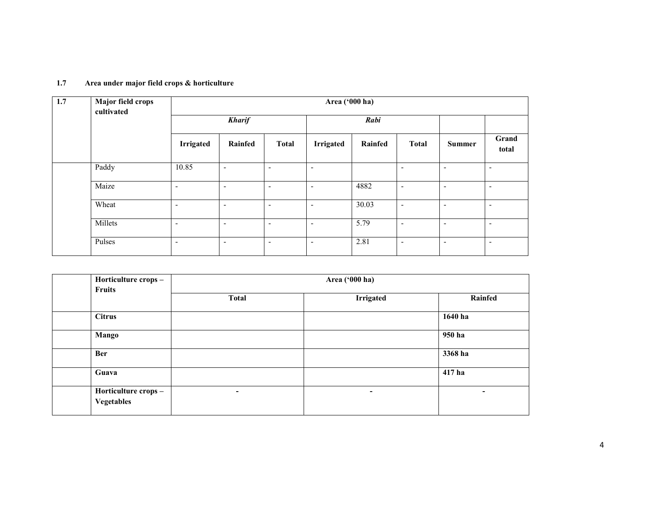| 1.7 | <b>Major field crops</b><br>cultivated | Area ('000 ha)           |                          |                          |                          |         |                          |                          |                          |  |
|-----|----------------------------------------|--------------------------|--------------------------|--------------------------|--------------------------|---------|--------------------------|--------------------------|--------------------------|--|
|     |                                        | <b>Kharif</b>            |                          | Rabi                     |                          |         |                          |                          |                          |  |
|     |                                        | <b>Irrigated</b>         | Rainfed                  | <b>Total</b>             | <b>Irrigated</b>         | Rainfed | <b>Total</b>             | <b>Summer</b>            | Grand<br>total           |  |
|     | Paddy                                  | 10.85                    | $\overline{\phantom{a}}$ | $\overline{\phantom{a}}$ | ۰                        |         | ٠                        | $\overline{\phantom{a}}$ | $\overline{\phantom{a}}$ |  |
|     | Maize                                  | $\overline{\phantom{a}}$ | $\overline{\phantom{a}}$ | $\overline{\phantom{a}}$ | $\overline{\phantom{a}}$ | 4882    | ٠                        | $\overline{\phantom{a}}$ | $\overline{\phantom{a}}$ |  |
|     | Wheat                                  | $\overline{\phantom{0}}$ | $\overline{\phantom{a}}$ | $\overline{\phantom{a}}$ | $\blacksquare$           | 30.03   | $\overline{\phantom{0}}$ | $\overline{\phantom{a}}$ | $\overline{\phantom{a}}$ |  |
|     | Millets                                | $\overline{\phantom{a}}$ | $\overline{\phantom{a}}$ | $\overline{\phantom{0}}$ | ۰                        | 5.79    | $\overline{\phantom{0}}$ | $\overline{\phantom{a}}$ | $\overline{\phantom{0}}$ |  |
|     | Pulses                                 | $\overline{\phantom{a}}$ | $\overline{\phantom{a}}$ | $\overline{\phantom{a}}$ | $\overline{\phantom{a}}$ | 2.81    | $\overline{\phantom{0}}$ | $\overline{\phantom{a}}$ | $\overline{\phantom{a}}$ |  |

#### 1.7 Area under major field crops & horticulture

| Horticulture crops -                     |              | Area ('000 ha)   |         |  |  |  |  |
|------------------------------------------|--------------|------------------|---------|--|--|--|--|
| Fruits                                   | <b>Total</b> | <b>Irrigated</b> | Rainfed |  |  |  |  |
| <b>Citrus</b>                            |              |                  | 1640 ha |  |  |  |  |
| Mango                                    |              |                  | 950 ha  |  |  |  |  |
| <b>Ber</b>                               |              |                  | 3368 ha |  |  |  |  |
| Guava                                    |              |                  | 417 ha  |  |  |  |  |
| Horticulture crops-<br><b>Vegetables</b> | ٠            | -                | -       |  |  |  |  |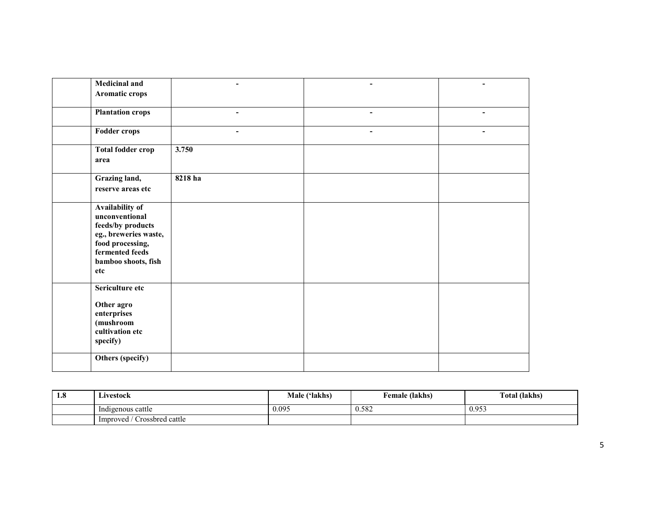| <b>Medicinal and</b><br>Aromatic crops                                                                                                               |         |        |                |
|------------------------------------------------------------------------------------------------------------------------------------------------------|---------|--------|----------------|
| <b>Plantation crops</b>                                                                                                                              | ۰       | ۰      |                |
| <b>Fodder crops</b>                                                                                                                                  | ۰       | $\sim$ | $\blacksquare$ |
| <b>Total fodder crop</b><br>area                                                                                                                     | 3.750   |        |                |
| Grazing land,<br>reserve areas etc                                                                                                                   | 8218 ha |        |                |
| Availability of<br>unconventional<br>feeds/by products<br>eg., breweries waste,<br>food processing,<br>fermented feeds<br>bamboo shoots, fish<br>etc |         |        |                |
| Sericulture etc<br>Other agro<br>enterprises<br>(mushroom<br>cultivation etc<br>specify)                                                             |         |        |                |
| Others (specify)                                                                                                                                     |         |        |                |

| 1.8 | Livestock                        | Male ('lakhs) | Female (lakhs) | Total (lakhs) |
|-----|----------------------------------|---------------|----------------|---------------|
|     | Indigenous cattle                | 0.095         | 0.582          | 0.953         |
|     | ' Crossbred cattle<br>Improved / |               |                |               |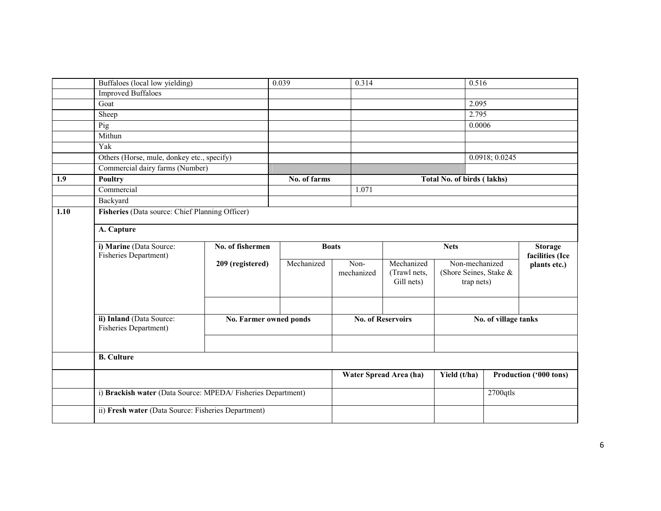|      | Buffaloes (local low yielding)                              |                        | 0.039        | 0.314                    |                            | 0.516                                |                |                        |  |  |
|------|-------------------------------------------------------------|------------------------|--------------|--------------------------|----------------------------|--------------------------------------|----------------|------------------------|--|--|
|      | <b>Improved Buffaloes</b>                                   |                        |              |                          |                            |                                      |                |                        |  |  |
|      | Goat                                                        |                        |              |                          |                            | 2.095                                |                |                        |  |  |
|      | Sheep<br>Pig                                                |                        |              |                          |                            | 2.795                                |                |                        |  |  |
|      |                                                             |                        |              |                          |                            | 0.0006                               |                |                        |  |  |
|      | Mithun                                                      |                        |              |                          |                            |                                      |                |                        |  |  |
|      | Yak                                                         |                        |              |                          |                            |                                      |                |                        |  |  |
|      | Others (Horse, mule, donkey etc., specify)                  |                        |              |                          |                            |                                      | 0.0918; 0.0245 |                        |  |  |
|      | Commercial dairy farms (Number)                             |                        |              |                          |                            |                                      |                |                        |  |  |
| 1.9  | <b>Poultry</b>                                              |                        | No. of farms |                          |                            | Total No. of birds (lakhs)           |                |                        |  |  |
|      | Commercial                                                  |                        |              | 1.071                    |                            |                                      |                |                        |  |  |
|      | Backyard                                                    |                        |              |                          |                            |                                      |                |                        |  |  |
| 1.10 | Fisheries (Data source: Chief Planning Officer)             |                        |              |                          |                            |                                      |                |                        |  |  |
|      |                                                             |                        |              |                          |                            |                                      |                |                        |  |  |
|      | A. Capture                                                  |                        |              |                          |                            |                                      |                |                        |  |  |
|      | i) Marine (Data Source:                                     | No. of fishermen       |              | <b>Boats</b>             |                            | <b>Nets</b>                          |                | <b>Storage</b>         |  |  |
|      | Fisheries Department)                                       |                        |              |                          |                            |                                      |                | facilities (Ice        |  |  |
|      |                                                             | 209 (registered)       | Mechanized   | Non-                     | Mechanized                 | Non-mechanized                       |                | plants etc.)           |  |  |
|      |                                                             |                        |              | mechanized               | (Trawl nets,<br>Gill nets) | (Shore Seines, Stake &<br>trap nets) |                |                        |  |  |
|      |                                                             |                        |              |                          |                            |                                      |                |                        |  |  |
|      |                                                             |                        |              |                          |                            |                                      |                |                        |  |  |
|      |                                                             |                        |              |                          |                            |                                      |                |                        |  |  |
|      | ii) Inland (Data Source:                                    | No. Farmer owned ponds |              | <b>No. of Reservoirs</b> |                            | No. of village tanks                 |                |                        |  |  |
|      | Fisheries Department)                                       |                        |              |                          |                            |                                      |                |                        |  |  |
|      |                                                             |                        |              |                          |                            |                                      |                |                        |  |  |
|      | <b>B.</b> Culture                                           |                        |              |                          |                            |                                      |                |                        |  |  |
|      |                                                             |                        |              |                          |                            |                                      |                |                        |  |  |
|      |                                                             |                        |              |                          | Water Spread Area (ha)     | Yield (t/ha)                         |                | Production ('000 tons) |  |  |
|      |                                                             |                        |              |                          |                            |                                      |                |                        |  |  |
|      | i) Brackish water (Data Source: MPEDA/Fisheries Department) |                        |              |                          |                            |                                      | $2700$ qtls    |                        |  |  |
|      | ii) Fresh water (Data Source: Fisheries Department)         |                        |              |                          |                            |                                      |                |                        |  |  |
|      |                                                             |                        |              |                          |                            |                                      |                |                        |  |  |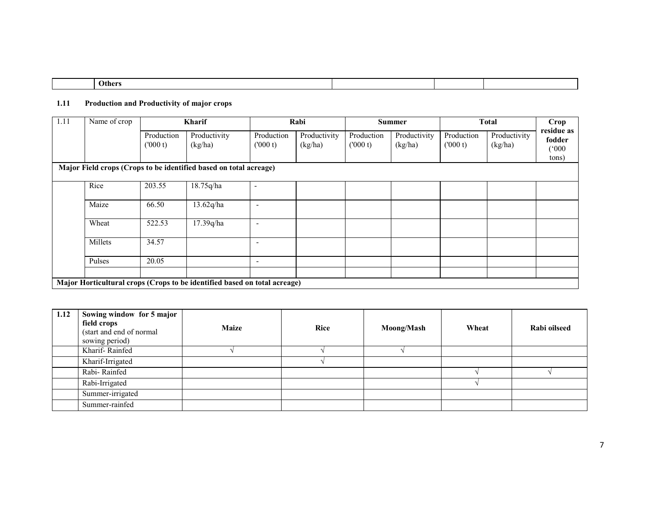| Others |  |  |
|--------|--|--|
|        |  |  |

## 1.11 Production and Productivity of major crops

| 1.11 | Name of crop |                       | Kharif                                                                    |                          | Rabi                    |                       | <b>Summer</b>           |                       | <b>Total</b>            | Crop                                   |
|------|--------------|-----------------------|---------------------------------------------------------------------------|--------------------------|-------------------------|-----------------------|-------------------------|-----------------------|-------------------------|----------------------------------------|
|      |              | Production<br>(000 t) | Productivity<br>(kg/ha)                                                   | Production<br>(000 t)    | Productivity<br>(kg/ha) | Production<br>(000 t) | Productivity<br>(kg/ha) | Production<br>(000 t) | Productivity<br>(kg/ha) | residue as<br>fodder<br>(000)<br>tons) |
|      |              |                       | Major Field crops (Crops to be identified based on total acreage)         |                          |                         |                       |                         |                       |                         |                                        |
|      | Rice         | 203.55                | 18.75q/ha                                                                 |                          |                         |                       |                         |                       |                         |                                        |
|      | Maize        | 66.50                 | 13.62q/ha                                                                 | $\overline{\phantom{a}}$ |                         |                       |                         |                       |                         |                                        |
|      | Wheat        | 522.53                | 17.39q/ha                                                                 | $\overline{\phantom{a}}$ |                         |                       |                         |                       |                         |                                        |
|      | Millets      | 34.57                 |                                                                           | $\overline{\phantom{a}}$ |                         |                       |                         |                       |                         |                                        |
|      | Pulses       | 20.05                 |                                                                           |                          |                         |                       |                         |                       |                         |                                        |
|      |              |                       |                                                                           |                          |                         |                       |                         |                       |                         |                                        |
|      |              |                       | Major Horticultural crops (Crops to be identified based on total acreage) |                          |                         |                       |                         |                       |                         |                                        |

| 1.12 | Sowing window for 5 major<br>field crops<br>(start and end of normal<br>sowing period) | <b>Maize</b> | <b>Rice</b> | <b>Moong/Mash</b> | Wheat | Rabi oilseed |
|------|----------------------------------------------------------------------------------------|--------------|-------------|-------------------|-------|--------------|
|      | Kharif-Rainfed                                                                         |              |             |                   |       |              |
|      | Kharif-Irrigated                                                                       |              |             |                   |       |              |
|      | Rabi-Rainfed                                                                           |              |             |                   |       |              |
|      | Rabi-Irrigated                                                                         |              |             |                   |       |              |
|      | Summer-irrigated                                                                       |              |             |                   |       |              |
|      | Summer-rainfed                                                                         |              |             |                   |       |              |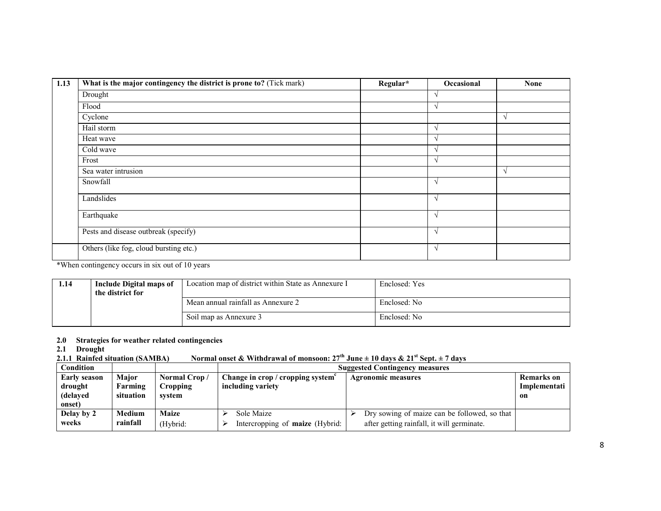| 1.13 | What is the major contingency the district is prone to? (Tick mark) | Regular* | Occasional    | <b>None</b> |
|------|---------------------------------------------------------------------|----------|---------------|-------------|
|      | Drought                                                             |          | $\lambda$     |             |
|      | Flood                                                               |          | $\lambda$     |             |
|      | Cyclone                                                             |          |               | V           |
|      | Hail storm                                                          |          | $\lambda$     |             |
|      | Heat wave                                                           |          | $\lambda$     |             |
|      | Cold wave                                                           |          | $\lambda$     |             |
|      | Frost                                                               |          | $\lambda$     |             |
|      | Sea water intrusion                                                 |          |               | $\sqrt{ }$  |
|      | Snowfall                                                            |          | $\gamma$      |             |
|      | Landslides                                                          |          |               |             |
|      | Earthquake                                                          |          | $\sqrt{ }$    |             |
|      | Pests and disease outbreak (specify)                                |          | $\gamma$      |             |
|      | Others (like fog, cloud bursting etc.)                              |          | $\mathcal{N}$ |             |

\*When contingency occurs in six out of 10 years

| 1.14 | Include Digital maps of<br>the district for | Location map of district within State as Annexure I | Enclosed: Yes |
|------|---------------------------------------------|-----------------------------------------------------|---------------|
|      |                                             | Mean annual rainfall as Annexure 2                  | Enclosed: No  |
|      |                                             | Soil map as Annexure 3                              | Enclosed: No  |

## 2.0 Strategies for weather related contingencies

2.1 Drought

#### 2.1.1 Rainfed situation (SAMBA) Normal onset & Withdrawal of monsoon:  $27^{th}$  June  $\pm 10$  days &  $21^{st}$  Sept.  $\pm 7$  days

| <b>Condition</b>    |               |              | <b>Suggested Contingency measures</b>       |                                              |                   |  |  |
|---------------------|---------------|--------------|---------------------------------------------|----------------------------------------------|-------------------|--|--|
| <b>Early season</b> | <b>Maior</b>  | Normal Crop/ | Change in crop / cropping system $\epsilon$ | <b>Agronomic measures</b>                    | <b>Remarks</b> on |  |  |
| drought             | Farming       | Cropping     | including variety                           |                                              | Implementati      |  |  |
| (delaved            | situation     | svstem       |                                             |                                              | on                |  |  |
| onset)              |               |              |                                             |                                              |                   |  |  |
| Delay by 2          | <b>Medium</b> | Maize        | Sole Maize                                  | Dry sowing of maize can be followed, so that |                   |  |  |
| weeks               | rainfall      | (Hybrid:     | Intercropping of maize (Hybrid:             | after getting rainfall, it will germinate.   |                   |  |  |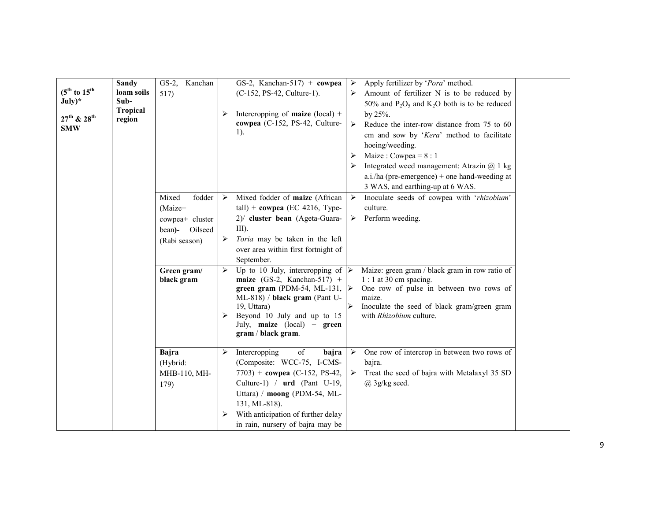| $(5^{th}$ to $15^{th}$<br>$July)*$<br>$27^{th}$ & $28^{th}$<br><b>SMW</b> | <b>Sandy</b><br>loam soils<br>Sub-<br><b>Tropical</b><br>region | $GS-2$ ,<br>Kanchan<br>517)                                                         |        | GS-2, Kanchan-517) + cowpea<br>(C-152, PS-42, Culture-1).<br>Intercropping of <b>maize</b> (local) +<br>cowpea (C-152, PS-42, Culture-<br>1).                                                                                                          | $\blacktriangleright$<br>⋗ | Apply fertilizer by 'Pora' method.<br>Amount of fertilizer N is to be reduced by<br>50% and $P_2O_5$ and $K_2O$ both is to be reduced<br>by 25%.<br>Reduce the inter-row distance from 75 to 60<br>cm and sow by 'Kera' method to facilitate<br>hoeing/weeding.<br>Maize: Cowpea = $8:1$<br>Integrated weed management: Atrazin $(a)$ 1 kg<br>a.i./ha (pre-emergence) + one hand-weeding at<br>3 WAS, and earthing-up at 6 WAS. |  |
|---------------------------------------------------------------------------|-----------------------------------------------------------------|-------------------------------------------------------------------------------------|--------|--------------------------------------------------------------------------------------------------------------------------------------------------------------------------------------------------------------------------------------------------------|----------------------------|---------------------------------------------------------------------------------------------------------------------------------------------------------------------------------------------------------------------------------------------------------------------------------------------------------------------------------------------------------------------------------------------------------------------------------|--|
|                                                                           |                                                                 | Mixed<br>fodder<br>(Maize+<br>cowpea+ cluster<br>Oilseed<br>bean)-<br>(Rabi season) | ➤<br>➤ | Mixed fodder of maize (African<br>$tall$ ) + cowpea (EC 4216, Type-<br>2)/ cluster bean (Ageta-Guara-<br>$III$ ).<br>Toria may be taken in the left<br>over area within first fortnight of<br>September.                                               | ≻                          | Inoculate seeds of cowpea with 'rhizobium'<br>culture.<br>Perform weeding.                                                                                                                                                                                                                                                                                                                                                      |  |
|                                                                           |                                                                 | Green gram/<br>black gram                                                           | ≻      | Up to 10 July, intercropping of<br>maize (GS-2, Kanchan-517) +<br>green gram (PDM-54, ML-131,<br>ML-818) / black gram (Pant U-<br>19, Uttara)<br>Beyond 10 July and up to 15<br>July, maize (local) + green<br>gram / black gram.                      | ≻<br>➤                     | Maize: green gram / black gram in row ratio of<br>$1:1$ at 30 cm spacing.<br>One row of pulse in between two rows of<br>maize.<br>Inoculate the seed of black gram/green gram<br>with Rhizobium culture.                                                                                                                                                                                                                        |  |
|                                                                           |                                                                 | Bajra<br>(Hybrid:<br>MHB-110, MH-<br>179)                                           | ⋗<br>➤ | Intercropping<br>of<br>bajra<br>(Composite: WCC-75, I-CMS-<br>7703) + cowpea (C-152, PS-42,<br>Culture-1) / urd (Pant U-19,<br>Uttara) / moong (PDM-54, ML-<br>131, ML-818).<br>With anticipation of further delay<br>in rain, nursery of bajra may be | ➤                          | One row of intercrop in between two rows of<br>bajra.<br>Treat the seed of bajra with Metalaxyl 35 SD<br>$(a)$ 3g/kg seed.                                                                                                                                                                                                                                                                                                      |  |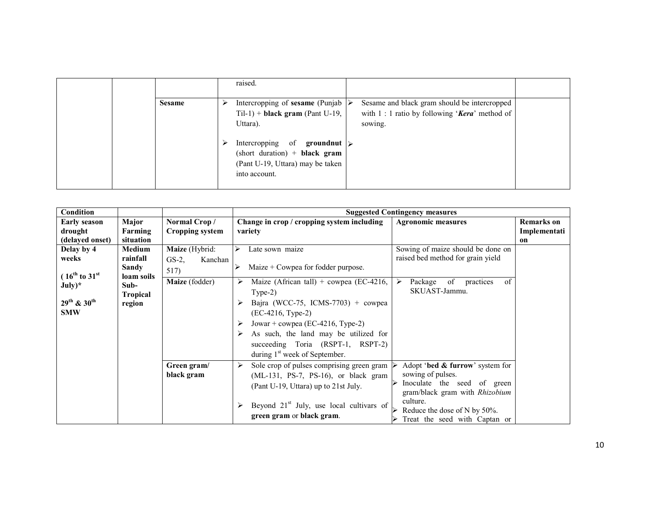|               |        | raised.                                                                                                                                                                                                                                               |                                                                                                                    |  |
|---------------|--------|-------------------------------------------------------------------------------------------------------------------------------------------------------------------------------------------------------------------------------------------------------|--------------------------------------------------------------------------------------------------------------------|--|
| <b>Sesame</b> | ➤<br>➤ | Intercropping of sesame (Punjab $\triangleright$<br>$Til-1$ + <b>black gram</b> (Pant U-19,<br>Uttara).<br>Intercropping of <b>groundnut</b> $\triangleright$<br>$(short duration) + black gram$<br>(Pant U-19, Uttara) may be taken<br>into account. | Sesame and black gram should be intercropped<br>with $1:1$ ratio by following ' <b>Kera</b> ' method of<br>sowing. |  |

| <b>Condition</b>                                                           |                                                 |                                        |                                                                                                                                                                                                           | <b>Suggested Contingency measures</b>                                                                                                                                                              |                                   |
|----------------------------------------------------------------------------|-------------------------------------------------|----------------------------------------|-----------------------------------------------------------------------------------------------------------------------------------------------------------------------------------------------------------|----------------------------------------------------------------------------------------------------------------------------------------------------------------------------------------------------|-----------------------------------|
| <b>Early season</b><br>drought                                             | Major<br>Farming                                | Normal Crop/<br><b>Cropping system</b> | Change in crop / cropping system including<br>variety                                                                                                                                                     | <b>Agronomic measures</b>                                                                                                                                                                          | <b>Remarks</b> on<br>Implementati |
| (delayed onset)                                                            | situation                                       |                                        |                                                                                                                                                                                                           |                                                                                                                                                                                                    | on                                |
| Delay by 4                                                                 | <b>Medium</b>                                   | Maize (Hybrid:                         | ≻<br>Late sown maize                                                                                                                                                                                      | Sowing of maize should be done on                                                                                                                                                                  |                                   |
| weeks                                                                      | rainfall<br>Sandy                               | $GS-2$ ,<br>Kanchan<br>517)            | Maize $+$ Cowpea for fodder purpose.<br>⋗                                                                                                                                                                 | raised bed method for grain yield                                                                                                                                                                  |                                   |
| $(16^{th}$ to $31^{st}$<br>$July)*$<br>29 <sup>th</sup> & 30 <sup>th</sup> | loam soils<br>Sub-<br><b>Tropical</b><br>region | Maize (fodder)                         | Maize (African tall) + cowpea (EC-4216,<br>➤<br>$Type-2)$<br>Bajra (WCC-75, ICMS-7703) + cowpea                                                                                                           | of<br>Package<br>of<br>practices<br>➤<br>SKUAST-Jammu.                                                                                                                                             |                                   |
| <b>SMW</b>                                                                 |                                                 |                                        | (EC-4216, Type-2)<br>Jowar + cowpea (EC-4216, Type-2)<br>As such, the land may be utilized for<br>succeeding Toria (RSPT-1, RSPT-2)<br>during $1st$ week of September.                                    |                                                                                                                                                                                                    |                                   |
|                                                                            |                                                 | Green gram/<br>black gram              | Sole crop of pulses comprising green gram<br>➤<br>(ML-131, PS-7, PS-16), or black gram<br>(Pant U-19, Uttara) up to 21st July.<br>Beyond $21st$ July, use local cultivars of<br>green gram or black gram. | Adopt 'bed & furrow' system for<br>sowing of pulses.<br>Inoculate the seed of green<br>gram/black gram with Rhizobium<br>culture.<br>Reduce the dose of N by 50%.<br>Treat the seed with Captan or |                                   |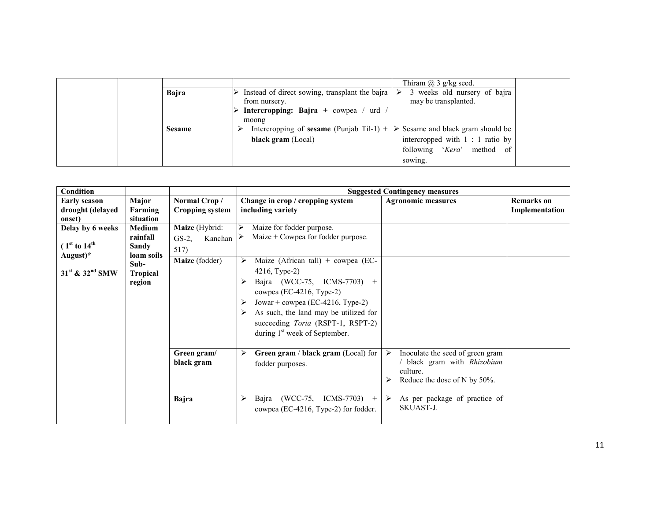|               |                                                                                                                   | Thiram $(a)$ 3 g/kg seed.                                 |
|---------------|-------------------------------------------------------------------------------------------------------------------|-----------------------------------------------------------|
| Bajra         | Instead of direct sowing, transplant the bajra  <br>from nursery.<br><b>Intercropping:</b> Bajra + cowpea / urd / | 3 weeks old nursery of bajra<br>⋗<br>may be transplanted. |
|               | moong                                                                                                             |                                                           |
| <b>Sesame</b> | Intercropping of <b>sesame</b> (Punjab Til-1) + $\triangleright$ Sesame and black gram should be                  |                                                           |
|               | black gram (Local)                                                                                                | intercropped with 1 : 1 ratio by                          |
|               |                                                                                                                   | following 'Kera' method of                                |
|               |                                                                                                                   | sowing.                                                   |

| <b>Condition</b>                                                                                                  |                                                  |                                               |                                                                                                                                                                                                                                                                     | <b>Suggested Contingency measures</b>                                                                                           |                                     |
|-------------------------------------------------------------------------------------------------------------------|--------------------------------------------------|-----------------------------------------------|---------------------------------------------------------------------------------------------------------------------------------------------------------------------------------------------------------------------------------------------------------------------|---------------------------------------------------------------------------------------------------------------------------------|-------------------------------------|
| <b>Early season</b><br>drought (delayed<br>onset)                                                                 | Major<br>Farming<br>situation                    | Normal Crop/<br><b>Cropping system</b>        | Change in crop / cropping system<br>including variety                                                                                                                                                                                                               | <b>Agronomic measures</b>                                                                                                       | <b>Remarks</b> on<br>Implementation |
| Delay by 6 weeks<br>(1 <sup>st</sup> to 14 <sup>th</sup> )<br>August)*<br>31 <sup>st</sup> & 32 <sup>nd</sup> SMW | <b>Medium</b><br>rainfall<br>Sandy<br>loam soils | Maize (Hybrid:<br>$GS-2$ ,<br>Kanchan<br>517) | Maize for fodder purpose.<br>Maize $+$ Cowpea for fodder purpose.                                                                                                                                                                                                   |                                                                                                                                 |                                     |
|                                                                                                                   | Sub-<br><b>Tropical</b><br>region                | Maize (fodder)                                | Maize (African tall) + cowpea (EC-<br>4216, Type-2)<br>Bajra (WCC-75, ICMS-7703) +<br>cowpea (EC-4216, Type-2)<br>Jowar + cowpea (EC-4216, Type-2)<br>As such, the land may be utilized for<br>succeeding Toria (RSPT-1, RSPT-2)<br>during $1st$ week of September. |                                                                                                                                 |                                     |
|                                                                                                                   |                                                  | Green gram/<br>black gram                     | Green gram / black gram (Local) for<br>⋗<br>fodder purposes.                                                                                                                                                                                                        | $\triangleright$<br>Inoculate the seed of green gram<br>/ black gram with Rhizobium<br>culture.<br>Reduce the dose of N by 50%. |                                     |
|                                                                                                                   |                                                  | <b>Bajra</b>                                  | (WCC-75, ICMS-7703)<br>≻<br>Bajra<br>$+$<br>cowpea (EC-4216, Type-2) for fodder.                                                                                                                                                                                    | As per package of practice of<br>➤<br>SKUAST-J.                                                                                 |                                     |